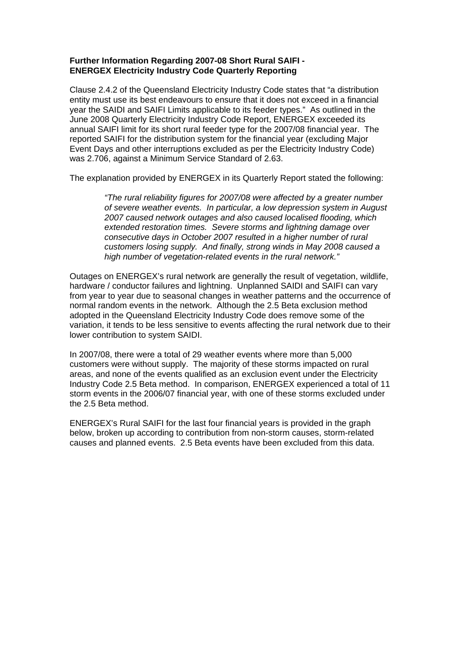## **Further Information Regarding 2007-08 Short Rural SAIFI - ENERGEX Electricity Industry Code Quarterly Reporting**

Clause 2.4.2 of the Queensland Electricity Industry Code states that "a distribution entity must use its best endeavours to ensure that it does not exceed in a financial year the SAIDI and SAIFI Limits applicable to its feeder types." As outlined in the June 2008 Quarterly Electricity Industry Code Report, ENERGEX exceeded its annual SAIFI limit for its short rural feeder type for the 2007/08 financial year. The reported SAIFI for the distribution system for the financial year (excluding Major Event Days and other interruptions excluded as per the Electricity Industry Code) was 2.706, against a Minimum Service Standard of 2.63.

The explanation provided by ENERGEX in its Quarterly Report stated the following:

*"The rural reliability figures for 2007/08 were affected by a greater number of severe weather events. In particular, a low depression system in August 2007 caused network outages and also caused localised flooding, which extended restoration times. Severe storms and lightning damage over consecutive days in October 2007 resulted in a higher number of rural customers losing supply. And finally, strong winds in May 2008 caused a high number of vegetation-related events in the rural network."* 

Outages on ENERGEX's rural network are generally the result of vegetation, wildlife, hardware / conductor failures and lightning. Unplanned SAIDI and SAIFI can vary from year to year due to seasonal changes in weather patterns and the occurrence of normal random events in the network. Although the 2.5 Beta exclusion method adopted in the Queensland Electricity Industry Code does remove some of the variation, it tends to be less sensitive to events affecting the rural network due to their lower contribution to system SAIDI.

In 2007/08, there were a total of 29 weather events where more than 5,000 customers were without supply. The majority of these storms impacted on rural areas, and none of the events qualified as an exclusion event under the Electricity Industry Code 2.5 Beta method. In comparison, ENERGEX experienced a total of 11 storm events in the 2006/07 financial year, with one of these storms excluded under the 2.5 Beta method.

ENERGEX's Rural SAIFI for the last four financial years is provided in the graph below, broken up according to contribution from non-storm causes, storm-related causes and planned events. 2.5 Beta events have been excluded from this data.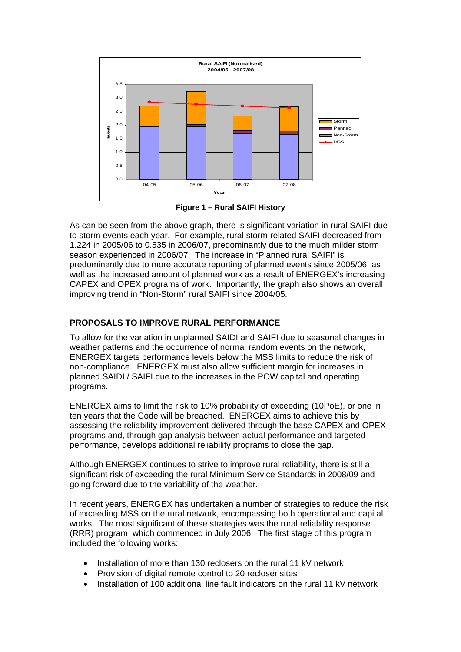

**Figure 1 – Rural SAIFI History** 

As can be seen from the above graph, there is significant variation in rural SAIFI due to storm events each year. For example, rural storm-related SAIFI decreased from 1.224 in 2005/06 to 0.535 in 2006/07, predominantly due to the much milder storm season experienced in 2006/07. The increase in "Planned rural SAIFI" is predominantly due to more accurate reporting of planned events since 2005/06, as well as the increased amount of planned work as a result of ENERGEX's increasing CAPEX and OPEX programs of work. Importantly, the graph also shows an overall improving trend in "Non-Storm" rural SAIFI since 2004/05.

## **PROPOSALS TO IMPROVE RURAL PERFORMANCE**

To allow for the variation in unplanned SAIDI and SAIFI due to seasonal changes in weather patterns and the occurrence of normal random events on the network, ENERGEX targets performance levels below the MSS limits to reduce the risk of non-compliance. ENERGEX must also allow sufficient margin for increases in planned SAIDI / SAIFI due to the increases in the POW capital and operating programs.

ENERGEX aims to limit the risk to 10% probability of exceeding (10PoE), or one in ten years that the Code will be breached. ENERGEX aims to achieve this by assessing the reliability improvement delivered through the base CAPEX and OPEX programs and, through gap analysis between actual performance and targeted performance, develops additional reliability programs to close the gap.

Although ENERGEX continues to strive to improve rural reliability, there is still a significant risk of exceeding the rural Minimum Service Standards in 2008/09 and going forward due to the variability of the weather.

In recent years, ENERGEX has undertaken a number of strategies to reduce the risk of exceeding MSS on the rural network, encompassing both operational and capital works. The most significant of these strategies was the rural reliability response (RRR) program, which commenced in July 2006. The first stage of this program included the following works:

- Installation of more than 130 reclosers on the rural 11 kV network
- Provision of digital remote control to 20 recloser sites
- Installation of 100 additional line fault indicators on the rural 11 kV network